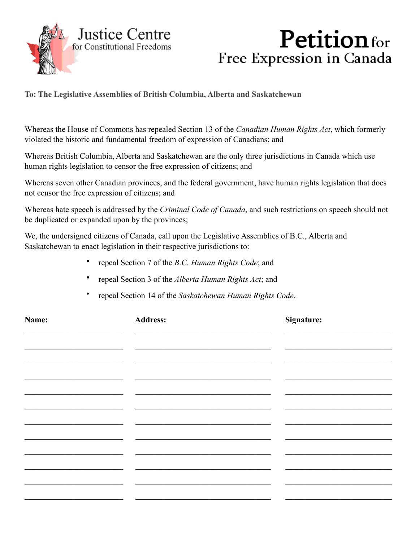

## **Petition** for Free Expression in Canada

**To: The Legislative Assemblies of British Columbia, Alberta and Saskatchewan**

Whereas the House of Commons has repealed Section 13 of the *Canadian Human Rights Act*, which formerly violated the historic and fundamental freedom of expression of Canadians; and

Whereas British Columbia, Alberta and Saskatchewan are the only three jurisdictions in Canada which use human rights legislation to censor the free expression of citizens; and

Whereas seven other Canadian provinces, and the federal government, have human rights legislation that does not censor the free expression of citizens; and

Whereas hate speech is addressed by the *Criminal Code of Canada*, and such restrictions on speech should not be duplicated or expanded upon by the provinces;

We, the undersigned citizens of Canada, call upon the Legislative Assemblies of B.C., Alberta and Saskatchewan to enact legislation in their respective jurisdictions to:

- repeal Section 7 of the *B.C. Human Rights Code*; and
- repeal Section 3 of the *Alberta Human Rights Act*; and
- repeal Section 14 of the *Saskatchewan Human Rights Code*.

| Name: | <b>Address:</b> | Signature: |
|-------|-----------------|------------|
|       |                 |            |
|       |                 |            |
|       |                 |            |
|       |                 |            |
|       |                 |            |
|       |                 |            |
|       |                 |            |
|       |                 |            |
|       |                 |            |
|       |                 |            |
|       |                 |            |